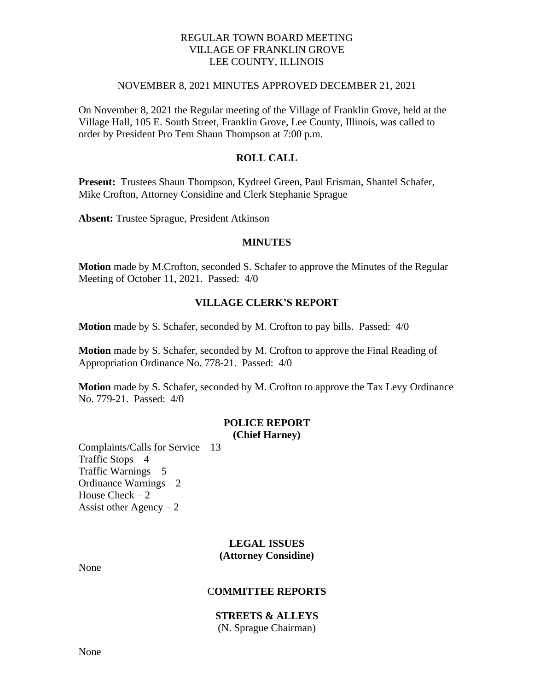## REGULAR TOWN BOARD MEETING VILLAGE OF FRANKLIN GROVE LEE COUNTY, ILLINOIS

#### NOVEMBER 8, 2021 MINUTES APPROVED DECEMBER 21, 2021

On November 8, 2021 the Regular meeting of the Village of Franklin Grove, held at the Village Hall, 105 E. South Street, Franklin Grove, Lee County, Illinois, was called to order by President Pro Tem Shaun Thompson at 7:00 p.m.

## **ROLL CALL**

**Present:** Trustees Shaun Thompson, Kydreel Green, Paul Erisman, Shantel Schafer, Mike Crofton, Attorney Considine and Clerk Stephanie Sprague

**Absent:** Trustee Sprague, President Atkinson

#### **MINUTES**

**Motion** made by M.Crofton, seconded S. Schafer to approve the Minutes of the Regular Meeting of October 11, 2021. Passed: 4/0

## **VILLAGE CLERK'S REPORT**

**Motion** made by S. Schafer, seconded by M. Crofton to pay bills. Passed: 4/0

**Motion** made by S. Schafer, seconded by M. Crofton to approve the Final Reading of Appropriation Ordinance No. 778-21. Passed: 4/0

**Motion** made by S. Schafer, seconded by M. Crofton to approve the Tax Levy Ordinance No. 779-21. Passed: 4/0

### **POLICE REPORT (Chief Harney)**

Complaints/Calls for Service – 13 Traffic Stops  $-4$ Traffic Warnings – 5 Ordinance Warnings – 2 House  $Check - 2$ Assist other Agency  $-2$ 

## **LEGAL ISSUES (Attorney Considine)**

None

## C**OMMITTEE REPORTS**

#### **STREETS & ALLEYS**

(N. Sprague Chairman)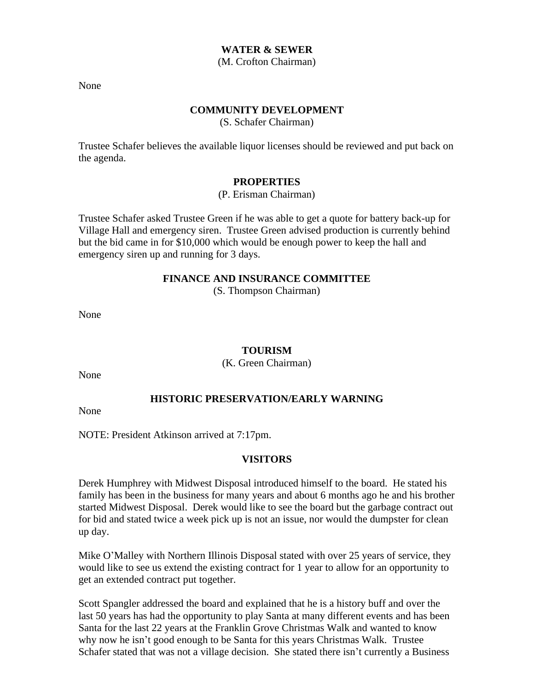#### **WATER & SEWER**

(M. Crofton Chairman)

None

## **COMMUNITY DEVELOPMENT**

(S. Schafer Chairman)

Trustee Schafer believes the available liquor licenses should be reviewed and put back on the agenda.

### **PROPERTIES**

#### (P. Erisman Chairman)

Trustee Schafer asked Trustee Green if he was able to get a quote for battery back-up for Village Hall and emergency siren. Trustee Green advised production is currently behind but the bid came in for \$10,000 which would be enough power to keep the hall and emergency siren up and running for 3 days.

## **FINANCE AND INSURANCE COMMITTEE**

(S. Thompson Chairman)

None

### **TOURISM**

(K. Green Chairman)

None

## **HISTORIC PRESERVATION/EARLY WARNING**

None

NOTE: President Atkinson arrived at 7:17pm.

### **VISITORS**

Derek Humphrey with Midwest Disposal introduced himself to the board. He stated his family has been in the business for many years and about 6 months ago he and his brother started Midwest Disposal. Derek would like to see the board but the garbage contract out for bid and stated twice a week pick up is not an issue, nor would the dumpster for clean up day.

Mike O'Malley with Northern Illinois Disposal stated with over 25 years of service, they would like to see us extend the existing contract for 1 year to allow for an opportunity to get an extended contract put together.

Scott Spangler addressed the board and explained that he is a history buff and over the last 50 years has had the opportunity to play Santa at many different events and has been Santa for the last 22 years at the Franklin Grove Christmas Walk and wanted to know why now he isn't good enough to be Santa for this years Christmas Walk. Trustee Schafer stated that was not a village decision. She stated there isn't currently a Business